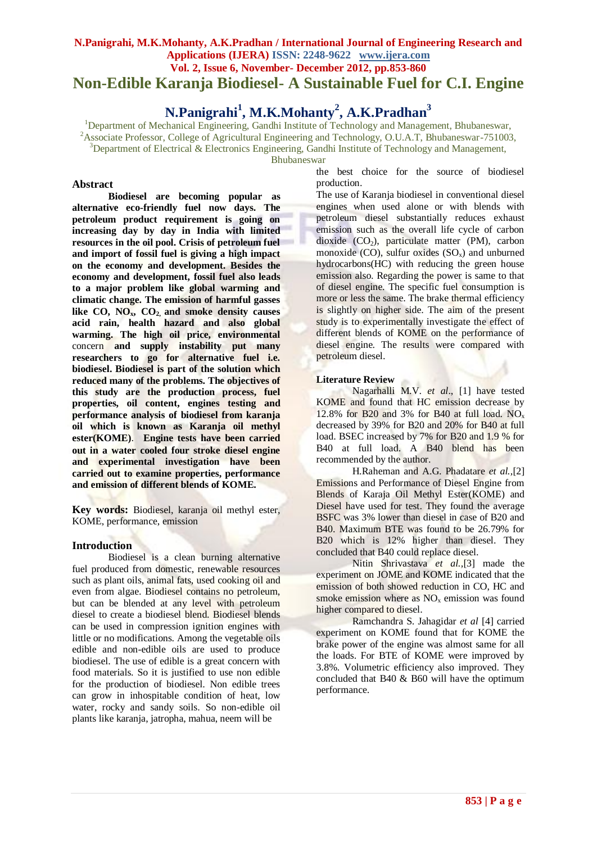# **N.Panigrahi, M.K.Mohanty, A.K.Pradhan / International Journal of Engineering Research and Applications (IJERA) ISSN: 2248-9622 www.ijera.com Vol. 2, Issue 6, November- December 2012, pp.853-860 Non-Edible Karanja Biodiesel- A Sustainable Fuel for C.I. Engine**

# **N.Panigrahi<sup>1</sup> , M.K.Mohanty<sup>2</sup> , A.K.Pradhan<sup>3</sup>**

<sup>1</sup>Department of Mechanical Engineering, Gandhi Institute of Technology and Management, Bhubaneswar,

<sup>2</sup>Associate Professor, College of Agricultural Engineering and Technology, O.U.A.T, Bhubaneswar-751003,

 $3$ Department of Electrical & Electronics Engineering, Gandhi Institute of Technology and Management,

Bhubaneswar

#### **Abstract**

**Biodiesel are becoming popular as alternative eco-friendly fuel now days. The petroleum product requirement is going on increasing day by day in India with limited resources in the oil pool. Crisis of petroleum fuel and import of fossil fuel is giving a high impact on the economy and development. Besides the economy and development, fossil fuel also leads to a major problem like global warming and climatic change. The emission of harmful gasses**  like  $CO$ ,  $NO_x$ ,  $CO_2$  and smoke density causes **acid rain, health hazard and also global warming. The high oil price, environmental**  concern **and supply instability put many researchers to go for alternative fuel i.e. biodiesel. Biodiesel is part of the solution which reduced many of the problems. The objectives of this study are the production process, fuel properties, oil content, engines testing and performance analysis of biodiesel from karanja oil which is known as Karanja oil methyl ester(KOME)**. **Engine tests have been carried out in a water cooled four stroke diesel engine and experimental investigation have been carried out to examine properties, performance and emission of different blends of KOME.**

**Key words:** Biodiesel, karanja oil methyl ester, KOME, performance, emission

# **Introduction**

Biodiesel is a clean burning alternative fuel produced from domestic, renewable resources such as plant oils, animal fats, used cooking oil and even from algae. Biodiesel contains no petroleum, but can be blended at any level with petroleum diesel to create a biodiesel blend. Biodiesel blends can be used in compression ignition engines with little or no modifications. Among the vegetable oils edible and non-edible oils are used to produce biodiesel. The use of edible is a great concern with food materials. So it is justified to use non edible for the production of biodiesel. Non edible trees can grow in inhospitable condition of heat, low water, rocky and sandy soils. So non-edible oil plants like karanja, jatropha, mahua, neem will be

the best choice for the source of biodiesel production.

The use of Karanja biodiesel in conventional diesel engines when used alone or with blends with petroleum diesel substantially reduces exhaust emission such as the overall life cycle of carbon dioxide  $(CO_2)$ , particulate matter (PM), carbon monoxide  $(CO)$ , sulfur oxides  $(SO<sub>x</sub>)$  and unburned hydrocarbons(HC) with reducing the green house emission also. Regarding the power is same to that of diesel engine. The specific fuel consumption is more or less the same. The brake thermal efficiency is slightly on higher side. The aim of the present study is to experimentally investigate the effect of different blends of KOME on the performance of diesel engine. The results were compared with petroleum diesel.

#### **Literature Review**

Nagarhalli M.V. *et al*., [1] have tested KOME and found that HC emission decrease by 12.8% for B20 and 3% for B40 at full load.  $NO<sub>x</sub>$ decreased by 39% for B20 and 20% for B40 at full load. BSEC increased by 7% for B20 and 1.9 % for B40 at full load. A B40 blend has been recommended by the author.

H.Raheman and A.G. Phadatare *et al.,*[2] Emissions and Performance of Diesel Engine from Blends of Karaja Oil Methyl Ester(KOME) and Diesel have used for test. They found the average BSFC was 3% lower than diesel in case of B20 and B40. Maximum BTE was found to be 26.79% for B20 which is 12% higher than diesel. They concluded that B40 could replace diesel.

Nitin Shrivastava *et al.,*[3] made the experiment on JOME and KOME indicated that the emission of both showed reduction in CO, HC and smoke emission where as  $NO<sub>x</sub>$  emission was found higher compared to diesel.

Ramchandra S. Jahagidar *et al* [4] carried experiment on KOME found that for KOME the brake power of the engine was almost same for all the loads. For BTE of KOME were improved by 3.8%. Volumetric efficiency also improved. They concluded that B40 & B60 will have the optimum performance.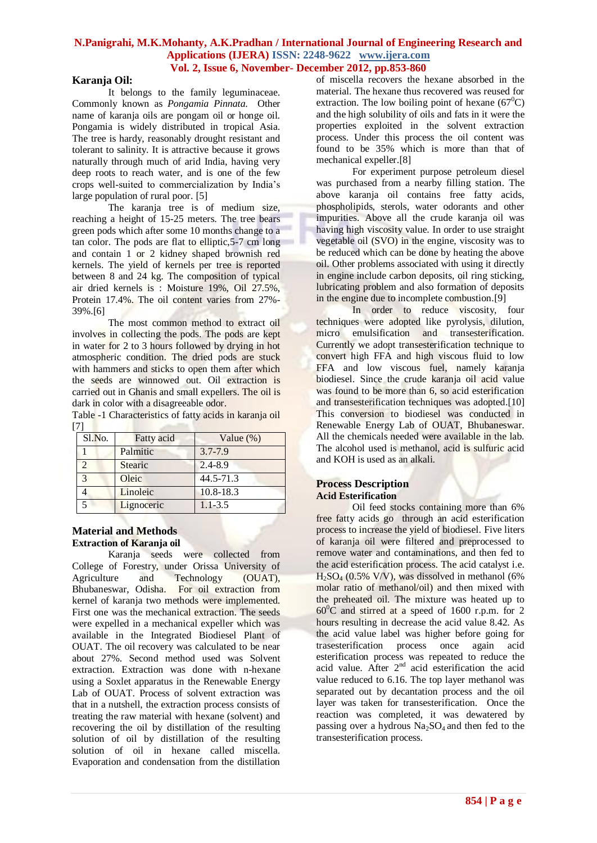#### **Karanja Oil:**

It belongs to the family leguminaceae. Commonly known as *Pongamia Pinnata*. Other name of karanja oils are pongam oil or honge oil. Pongamia is widely distributed in tropical Asia. The tree is hardy, reasonably drought resistant and tolerant to salinity. It is attractive because it grows naturally through much of arid India, having very deep roots to reach water, and is one of the few crops well-suited to commercialization by India's large population of rural poor. [5]

The karanja tree is of medium size, reaching a height of 15-25 meters. The tree bears green pods which after some 10 months change to a tan color. The pods are flat to elliptic,5-7 cm long and contain 1 or 2 kidney shaped brownish red kernels. The yield of kernels per tree is reported between 8 and 24 kg. The composition of typical air dried kernels is : Moisture 19%, Oil 27.5%, Protein 17.4%. The oil content varies from 27%- 39%.[6]

The most common method to extract oil involves in collecting the pods. The pods are kept in water for 2 to 3 hours followed by drying in hot atmospheric condition. The dried pods are stuck with hammers and sticks to open them after which the seeds are winnowed out. Oil extraction is carried out in Ghanis and small expellers. The oil is dark in color with a disagreeable odor.

Table -1 Characteristics of fatty acids in karanja oil  $[7]$ 

| Sl.No. | Fatty acid | Value $(\%)$ |
|--------|------------|--------------|
|        | Palmitic   | $3.7 - 7.9$  |
|        | Stearic    | $2.4 - 8.9$  |
|        | Oleic      | 44.5-71.3    |
|        | Linoleic   | 10.8-18.3    |
|        | Lignoceric | $1.1 - 3.5$  |

#### **Material and Methods Extraction of Karanja oil**

Karanja seeds were collected from College of Forestry, under Orissa University of Agriculture and Technology (OUAT), Bhubaneswar, Odisha. For oil extraction from kernel of karanja two methods were implemented. First one was the mechanical extraction. The seeds were expelled in a mechanical expeller which was available in the Integrated Biodiesel Plant of OUAT. The oil recovery was calculated to be near about 27%. Second method used was Solvent extraction. Extraction was done with n-hexane using a Soxlet apparatus in the Renewable Energy Lab of OUAT. Process of solvent extraction was that in a nutshell, the extraction process consists of treating the raw material with hexane (solvent) and recovering the oil by distillation of the resulting solution of oil by distillation of the resulting solution of oil in hexane called miscella. Evaporation and condensation from the distillation

of miscella recovers the hexane absorbed in the material. The hexane thus recovered was reused for extraction. The low boiling point of hexane  $(67^{\circ}C)$ and the high solubility of oils and fats in it were the properties exploited in the solvent extraction process. Under this process the oil content was found to be 35% which is more than that of mechanical expeller.[8]

For experiment purpose petroleum diesel was purchased from a nearby filling station. The above karanja oil contains free fatty acids, phospholipids, sterols, water odorants and other impurities. Above all the crude karanja oil was having high viscosity value. In order to use straight vegetable oil (SVO) in the engine, viscosity was to be reduced which can be done by heating the above oil. Other problems associated with using it directly in engine include carbon deposits, oil ring sticking, lubricating problem and also formation of deposits in the engine due to incomplete combustion.[9]

In order to reduce viscosity, four techniques were adopted like pyrolysis, dilution, micro emulsification and transesterification. Currently we adopt transesterification technique to convert high FFA and high viscous fluid to low FFA and low viscous fuel, namely karanja biodiesel. Since the crude karanja oil acid value was found to be more than 6, so acid esterification and transesterification techniques was adopted.[10] This conversion to biodiesel was conducted in Renewable Energy Lab of OUAT, Bhubaneswar. All the chemicals needed were available in the lab. The alcohol used is methanol, acid is sulfuric acid and KOH is used as an alkali.

#### **Process Description Acid Esterification**

Oil feed stocks containing more than 6% free fatty acids go through an acid esterification process to increase the yield of biodiesel. Five liters of karanja oil were filtered and preprocessed to remove water and contaminations, and then fed to the acid esterification process. The acid catalyst i.e.  $H_2SO_4$  (0.5% V/V), was dissolved in methanol (6%) molar ratio of methanol/oil) and then mixed with the preheated oil. The mixture was heated up to  $60^{\circ}$ C and stirred at a speed of 1600 r.p.m. for 2 hours resulting in decrease the acid value 8.42. As the acid value label was higher before going for trasesterification process once again acid esterification process was repeated to reduce the acid value. After  $2<sup>nd</sup>$  acid esterification the acid value reduced to 6.16. The top layer methanol was separated out by decantation process and the oil layer was taken for transesterification. Once the reaction was completed, it was dewatered by passing over a hydrous  $Na<sub>2</sub>SO<sub>4</sub>$  and then fed to the transesterification process.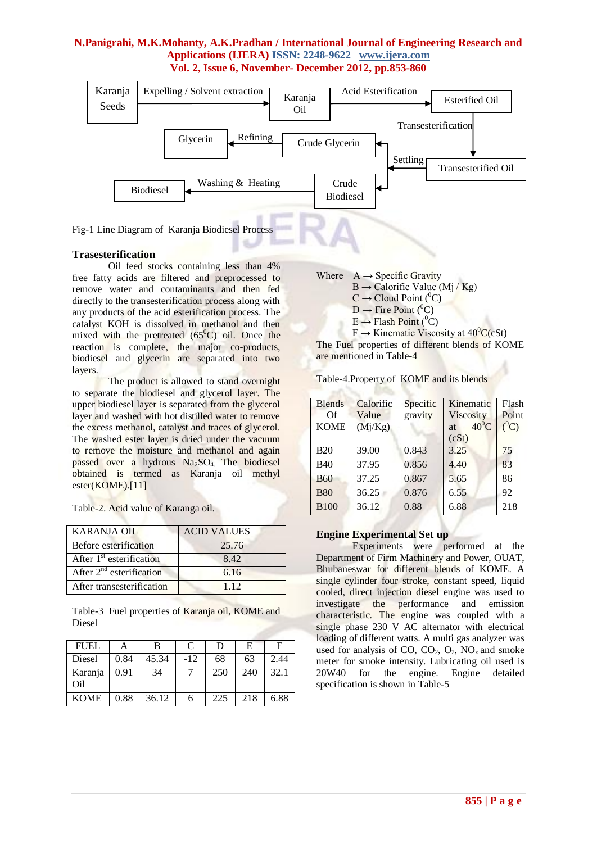

Fig-1 Line Diagram of Karanja Biodiesel Process

# **Trasesterification**

Oil feed stocks containing less than 4% free fatty acids are filtered and preprocessed to remove water and contaminants and then fed directly to the transesterification process along with any products of the acid esterification process. The catalyst KOH is dissolved in methanol and then mixed with the pretreated  $(65^{\circ}C)$  oil. Once the reaction is complete, the major co-products, biodiesel and glycerin are separated into two layers.

The product is allowed to stand overnight to separate the biodiesel and glycerol layer. The upper biodiesel layer is separated from the glycerol layer and washed with hot distilled water to remove the excess methanol, catalyst and traces of glycerol. The washed ester layer is dried under the vacuum to remove the moisture and methanol and again passed over a hydrous Na2SO4. The biodiesel obtained is termed as Karanja oil methyl ester(KOME).[11]

| Table-2. Acid value of Karanga oil. |  |  |  |  |  |
|-------------------------------------|--|--|--|--|--|
|-------------------------------------|--|--|--|--|--|

| <b>KARANJA OIL</b>            | <b>ACID VALUES</b> |
|-------------------------------|--------------------|
| Before esterification         | 25.76              |
| After $1st$ esterification    | 8.42               |
| After $2^{nd}$ esterification | 6.16               |
| After transesterification     | 1 1 2              |

Table-3 Fuel properties of Karanja oil, KOME and Diesel

| <b>FUEL</b>    |      |       | $\mathcal{C}_{\mathcal{C}}$ | D   | Е   | F    |
|----------------|------|-------|-----------------------------|-----|-----|------|
| Diesel         | 0.84 | 45.34 | $-12$                       | 68  | 63  | 2.44 |
| Karanja<br>Oil | 0.91 | 34    |                             | 250 | 240 | 32.1 |
| <b>KOME</b>    | 0.88 | 36.12 |                             | 225 | 218 | 6.88 |

Where  $A \rightarrow$  Specific Gravity  $B \rightarrow$  Calorific Value (Mj / Kg)  $C \rightarrow$  Cloud Point (<sup>0</sup>C)  $D \rightarrow$  Fire Point (<sup>0</sup>C)  $E \rightarrow$  Flash Point (<sup>0</sup>C)

 $F \rightarrow$  Kinematic Viscosity at  $40^{\circ}C(cSt)$ The Fuel properties of different blends of KOME are mentioned in Table-4

| Table-4. Property of KOME and its blends |  |  |
|------------------------------------------|--|--|
|                                          |  |  |

| <b>Blends</b><br>$\Omega$<br><b>KOME</b> | Calorific<br>Value<br>(Mj/Kg) | Specific<br>gravity | Kinematic<br>Viscosity<br>$40^{\circ}$ C<br><b>at</b><br>(cSt) | Flash<br>Point<br>$(^0C)$ |
|------------------------------------------|-------------------------------|---------------------|----------------------------------------------------------------|---------------------------|
| <b>B20</b>                               | 39.00                         | 0.843               | 3.25                                                           | 75                        |
| <b>B40</b>                               | 37.95                         | 0.856               | 4.40                                                           | 83                        |
| <b>B60</b>                               | 37.25                         | 0.867               | 5.65                                                           | 86                        |
| <b>B80</b>                               | 36.25                         | 0.876               | 6.55                                                           | 92                        |
| <b>B100</b>                              | 36.12                         | 0.88                | 6.88                                                           | 218                       |

# **Engine Experimental Set up**

Experiments were performed at the Department of Firm Machinery and Power, OUAT, Bhubaneswar for different blends of KOME. A single cylinder four stroke, constant speed, liquid cooled, direct injection diesel engine was used to investigate the performance and emission characteristic. The engine was coupled with a single phase 230 V AC alternator with electrical loading of different watts. A multi gas analyzer was used for analysis of CO,  $CO_2$ ,  $O_2$ ,  $NO_x$  and smoke meter for smoke intensity. Lubricating oil used is 20W40 for the engine. Engine detailed specification is shown in Table-5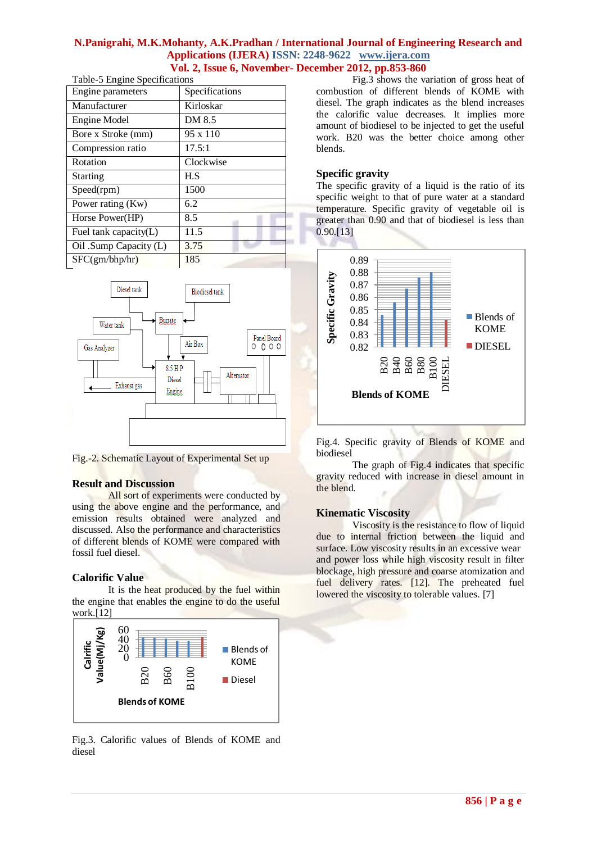| Table-5 Engine Specifications |                 |  |  |  |
|-------------------------------|-----------------|--|--|--|
| Engine parameters             | Specifications  |  |  |  |
| Manufacturer                  | Kirloskar       |  |  |  |
| Engine Model                  | DM 8.5          |  |  |  |
| Bore x Stroke (mm)            | $95 \times 110$ |  |  |  |
| Compression ratio             | 17.5:1          |  |  |  |
| Rotation                      | Clockwise       |  |  |  |
| <b>Starting</b>               | H.S             |  |  |  |
| Speed(rpm)                    | 1500            |  |  |  |
| Power rating (Kw)             | 6.2             |  |  |  |
| Horse Power(HP)               | 8.5             |  |  |  |
| Fuel tank capacity $(L)$      | 11.5            |  |  |  |
| Oil .Sump Capacity (L)        | 3.75            |  |  |  |
| SFC(gm/bhp/hr)                | 185             |  |  |  |





Fig.-2. Schematic Layout of Experimental Set up

# **Result and Discussion**

All sort of experiments were conducted by using the above engine and the performance, and emission results obtained were analyzed and discussed. Also the performance and characteristics of different blends of KOME were compared with fossil fuel diesel.

# **Calorific Value**

It is the heat produced by the fuel within the engine that enables the engine to do the useful work.[12]



Fig.3. Calorific values of Blends of KOME and diesel

Fig.3 shows the variation of gross heat of combustion of different blends of KOME with diesel. The graph indicates as the blend increases the calorific value decreases. It implies more amount of biodiesel to be injected to get the useful work. B20 was the better choice among other blends.

## **Specific gravity**

The specific gravity of a liquid is the ratio of its specific weight to that of pure water at a standard temperature. Specific gravity of vegetable oil is greater than 0.90 and that of biodiesel is less than 0.90.[13]

![](_page_3_Figure_14.jpeg)

Fig.4. Specific gravity of Blends of KOME and biodiesel

The graph of Fig.4 indicates that specific gravity reduced with increase in diesel amount in the blend.

#### **Kinematic Viscosity**

Viscosity is the resistance to flow of liquid due to internal friction between the liquid and surface. Low viscosity results in an excessive wear and power loss while high viscosity result in filter blockage, high pressure and coarse atomization and fuel delivery rates. [12]. The preheated fuel lowered the viscosity to tolerable values. [7]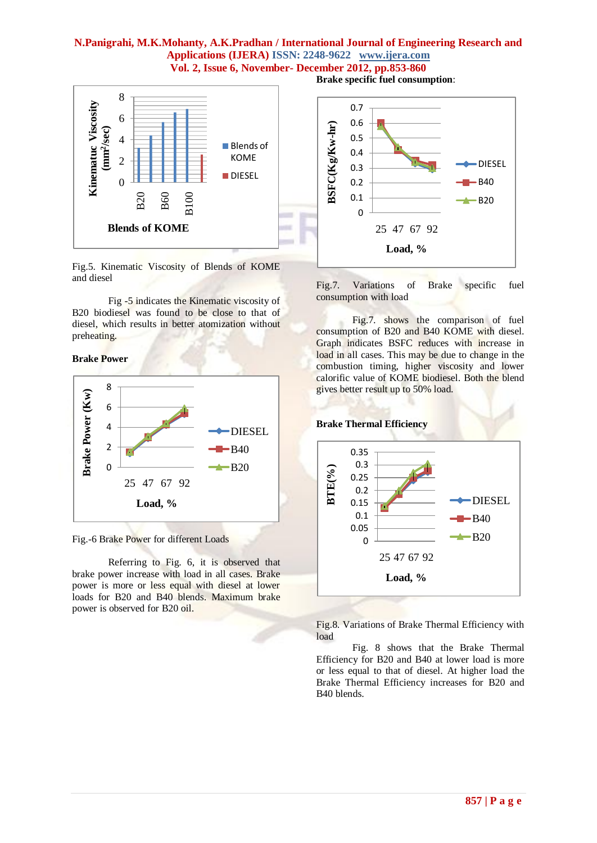![](_page_4_Figure_1.jpeg)

Fig.5. Kinematic Viscosity of Blends of KOME and diesel

Fig -5 indicates the Kinematic viscosity of B20 biodiesel was found to be close to that of diesel, which results in better atomization without preheating.

**Brake Power**

![](_page_4_Figure_5.jpeg)

Fig.-6 Brake Power for different Loads

Referring to Fig. 6, it is observed that brake power increase with load in all cases. Brake power is more or less equal with diesel at lower loads for B20 and B40 blends. Maximum brake power is observed for B20 oil.

**Brake specific fuel consumption**:

![](_page_4_Figure_9.jpeg)

Fig.7. Variations of Brake specific fuel consumption with load

Fig.7. shows the comparison of fuel consumption of B20 and B40 KOME with diesel. Graph indicates BSFC reduces with increase in load in all cases. This may be due to change in the combustion timing, higher viscosity and lower calorific value of KOME biodiesel. Both the blend gives better result up to 50% load.

![](_page_4_Figure_12.jpeg)

Fig.8. Variations of Brake Thermal Efficiency with load

Fig. 8 shows that the Brake Thermal Efficiency for B20 and B40 at lower load is more or less equal to that of diesel. At higher load the Brake Thermal Efficiency increases for B20 and B40 blends.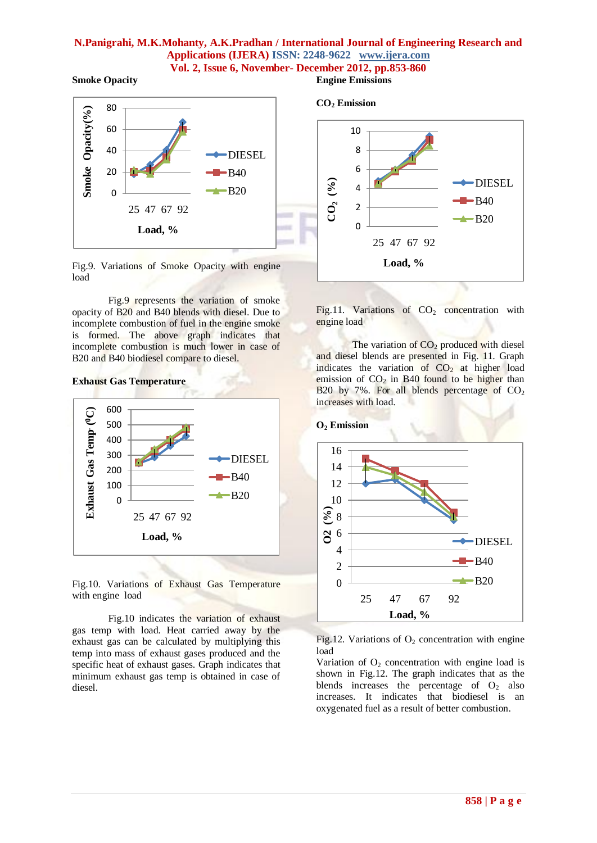**Smoke Opacity**

![](_page_5_Figure_2.jpeg)

Fig.9. Variations of Smoke Opacity with engine load

Fig.9 represents the variation of smoke opacity of B20 and B40 blends with diesel. Due to incomplete combustion of fuel in the engine smoke is formed. The above graph indicates that incomplete combustion is much lower in case of B20 and B40 biodiesel compare to diesel.

#### **Exhaust Gas Temperature**

![](_page_5_Figure_6.jpeg)

Fig.10. Variations of Exhaust Gas Temperature with engine load

Fig.10 indicates the variation of exhaust gas temp with load. Heat carried away by the exhaust gas can be calculated by multiplying this temp into mass of exhaust gases produced and the specific heat of exhaust gases. Graph indicates that minimum exhaust gas temp is obtained in case of diesel.

# **Engine Emissions**

![](_page_5_Figure_10.jpeg)

Fig.11. Variations of  $CO<sub>2</sub>$  concentration with engine load

The variation of  $CO<sub>2</sub>$  produced with diesel and diesel blends are presented in Fig. 11. Graph indicates the variation of  $CO<sub>2</sub>$  at higher load emission of  $CO<sub>2</sub>$  in B40 found to be higher than B20 by 7%. For all blends percentage of  $CO<sub>2</sub>$ increases with load.

#### **O<sup>2</sup> Emission**

![](_page_5_Figure_14.jpeg)

Fig.12. Variations of  $O<sub>2</sub>$  concentration with engine load

Variation of  $O_2$  concentration with engine load is shown in Fig.12. The graph indicates that as the blends increases the percentage of  $O_2$  also increases. It indicates that biodiesel is an oxygenated fuel as a result of better combustion.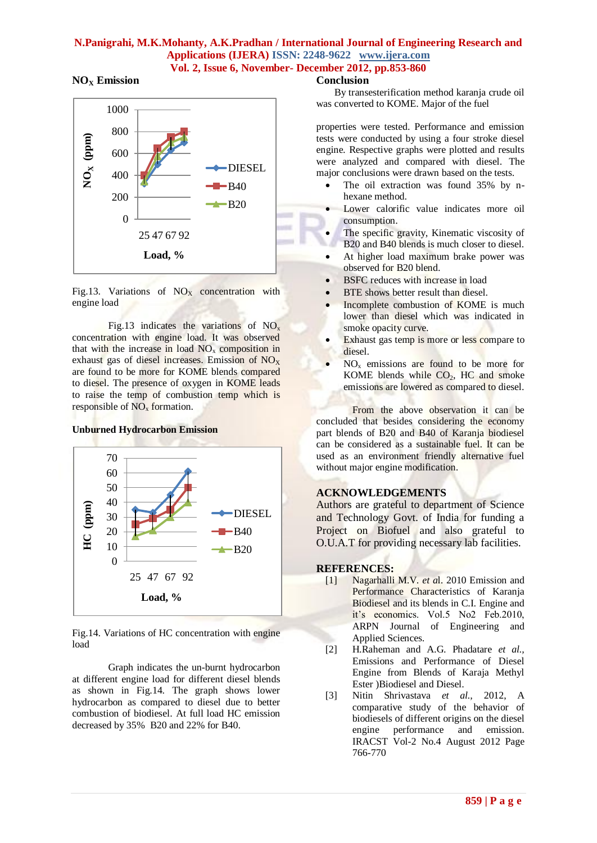## **NO<sup>X</sup> Emission**

![](_page_6_Figure_2.jpeg)

Fig.13. Variations of  $NO<sub>x</sub>$  concentration with engine load

Fig.13 indicates the variations of  $NO<sub>x</sub>$ concentration with engine load. It was observed that with the increase in load  $NO<sub>x</sub>$  composition in exhaust gas of diesel increases. Emission of  $NO<sub>x</sub>$ are found to be more for KOME blends compared to diesel. The presence of oxygen in KOME leads to raise the temp of combustion temp which is responsible of  $NO<sub>x</sub>$  formation.

## **Unburned Hydrocarbon Emission**

![](_page_6_Figure_6.jpeg)

Fig.14. Variations of HC concentration with engine load

Graph indicates the un-burnt hydrocarbon at different engine load for different diesel blends as shown in Fig.14. The graph shows lower hydrocarbon as compared to diesel due to better combustion of biodiesel. At full load HC emission decreased by 35% B20 and 22% for B40.

#### **Conclusion**

By transesterification method karanja crude oil was converted to KOME. Major of the fuel

properties were tested. Performance and emission tests were conducted by using a four stroke diesel engine. Respective graphs were plotted and results were analyzed and compared with diesel. The major conclusions were drawn based on the tests.

- The oil extraction was found 35% by nhexane method.
- Lower calorific value indicates more oil consumption.
- The specific gravity, Kinematic viscosity of B20 and B40 blends is much closer to diesel.
- At higher load maximum brake power was observed for B20 blend.
- BSFC reduces with increase in load
- BTE shows better result than diesel.
- Incomplete combustion of KOME is much lower than diesel which was indicated in smoke opacity curve.
- Exhaust gas temp is more or less compare to diesel.
- NO<sup>x</sup> emissions are found to be more for KOME blends while  $CO<sub>2</sub>$ , HC and smoke emissions are lowered as compared to diesel.

From the above observation it can be concluded that besides considering the economy part blends of B20 and B40 of Karanja biodiesel can be considered as a sustainable fuel. It can be used as an environment friendly alternative fuel without major engine modification.

#### **ACKNOWLEDGEMENTS**

Authors are grateful to department of Science and Technology Govt. of India for funding a Project on Biofuel and also grateful to O.U.A.T for providing necessary lab facilities.

# **REFERENCES:**

- [1] Nagarhalli M.V. *et a*l. 2010 Emission and Performance Characteristics of Karanja Biodiesel and its blends in C.I. Engine and it's economics. Vol.5 No2 Feb.2010, ARPN Journal of Engineering and Applied Sciences.
- [2] H.Raheman and A.G. Phadatare *et al.,*  Emissions and Performance of Diesel Engine from Blends of Karaja Methyl Ester )Biodiesel and Diesel.
- [3] Nitin Shrivastava *et al.,* 2012, A comparative study of the behavior of biodiesels of different origins on the diesel engine performance and emission. IRACST Vol-2 No.4 August 2012 Page 766-770